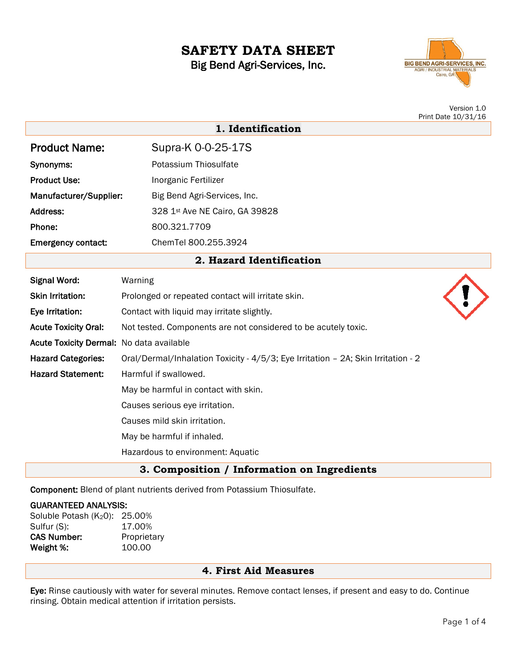# **SAFETY DATA SHEET** Big Bend Agri-Services, Inc.



Version 1.0 Print Date 10/31/16

|                                          | 1. Identification                                                                 |  |
|------------------------------------------|-----------------------------------------------------------------------------------|--|
| <b>Product Name:</b>                     | Supra-K 0-0-25-17S                                                                |  |
| Synonyms:                                | Potassium Thiosulfate                                                             |  |
| <b>Product Use:</b>                      | Inorganic Fertilizer                                                              |  |
| Manufacturer/Supplier:                   | Big Bend Agri-Services, Inc.                                                      |  |
| Address:                                 | 328 1st Ave NE Cairo, GA 39828                                                    |  |
| Phone:                                   | 800.321.7709                                                                      |  |
| <b>Emergency contact:</b>                | ChemTel 800.255.3924                                                              |  |
|                                          | 2. Hazard Identification                                                          |  |
| <b>Signal Word:</b>                      | Warning                                                                           |  |
| <b>Skin Irritation:</b>                  | Prolonged or repeated contact will irritate skin.                                 |  |
| Eye Irritation:                          | Contact with liquid may irritate slightly.                                        |  |
| <b>Acute Toxicity Oral:</b>              | Not tested. Components are not considered to be acutely toxic.                    |  |
| Acute Toxicity Dermal: No data available |                                                                                   |  |
| <b>Hazard Categories:</b>                | Oral/Dermal/Inhalation Toxicity - 4/5/3; Eye Irritation - 2A; Skin Irritation - 2 |  |
| <b>Hazard Statement:</b>                 | Harmful if swallowed.                                                             |  |
|                                          | May be harmful in contact with skin.                                              |  |
|                                          | Causes serious eye irritation.                                                    |  |
|                                          | Causes mild skin irritation.                                                      |  |
|                                          | May be harmful if inhaled.                                                        |  |
|                                          | Hazardous to environment: Aquatic                                                 |  |

# **3. Composition / Information on Ingredients**

Component: Blend of plant nutrients derived from Potassium Thiosulfate.

#### GUARANTEED ANALYSIS:

| Soluble Potash (K20): | 25.00%      |
|-----------------------|-------------|
| Sulfur (S):           | 17.00%      |
| <b>CAS Number:</b>    | Proprietary |
| Weight %:             | 100.00      |

## **4. First Aid Measures**

Eye: Rinse cautiously with water for several minutes. Remove contact lenses, if present and easy to do. Continue rinsing. Obtain medical attention if irritation persists.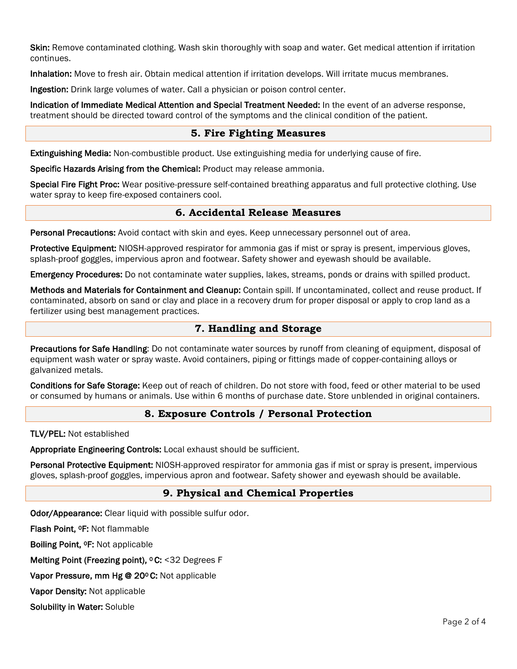Skin: Remove contaminated clothing. Wash skin thoroughly with soap and water. Get medical attention if irritation continues.

Inhalation: Move to fresh air. Obtain medical attention if irritation develops. Will irritate mucus membranes.

Ingestion: Drink large volumes of water. Call a physician or poison control center.

Indication of Immediate Medical Attention and Special Treatment Needed: In the event of an adverse response, treatment should be directed toward control of the symptoms and the clinical condition of the patient.

## **5. Fire Fighting Measures**

Extinguishing Media: Non-combustible product. Use extinguishing media for underlying cause of fire.

Specific Hazards Arising from the Chemical: Product may release ammonia.

Special Fire Fight Proc: Wear positive-pressure self-contained breathing apparatus and full protective clothing. Use water spray to keep fire-exposed containers cool.

## **6. Accidental Release Measures**

Personal Precautions: Avoid contact with skin and eyes. Keep unnecessary personnel out of area.

Protective Equipment: NIOSH-approved respirator for ammonia gas if mist or spray is present, impervious gloves, splash-proof goggles, impervious apron and footwear. Safety shower and eyewash should be available.

Emergency Procedures: Do not contaminate water supplies, lakes, streams, ponds or drains with spilled product.

Methods and Materials for Containment and Cleanup: Contain spill. If uncontaminated, collect and reuse product. If contaminated, absorb on sand or clay and place in a recovery drum for proper disposal or apply to crop land as a fertilizer using best management practices.

## **7. Handling and Storage**

Precautions for Safe Handling: Do not contaminate water sources by runoff from cleaning of equipment, disposal of equipment wash water or spray waste. Avoid containers, piping or fittings made of copper-containing alloys or galvanized metals.

Conditions for Safe Storage: Keep out of reach of children. Do not store with food, feed or other material to be used or consumed by humans or animals. Use within 6 months of purchase date. Store unblended in original containers.

## **8. Exposure Controls / Personal Protection**

TLV/PEL: Not established

Appropriate Engineering Controls: Local exhaust should be sufficient.

Personal Protective Equipment: NIOSH-approved respirator for ammonia gas if mist or spray is present, impervious gloves, splash-proof goggles, impervious apron and footwear. Safety shower and eyewash should be available.

## **9. Physical and Chemical Properties**

Odor/Appearance: Clear liquid with possible sulfur odor.

Flash Point, 0F: Not flammable

Boiling Point, 0F: Not applicable

Melting Point (Freezing point), <sup>o</sup> C: <32 Degrees F

Vapor Pressure, mm Hg @ 20ºC: Not applicable

Vapor Density: Not applicable

Solubility in Water: Soluble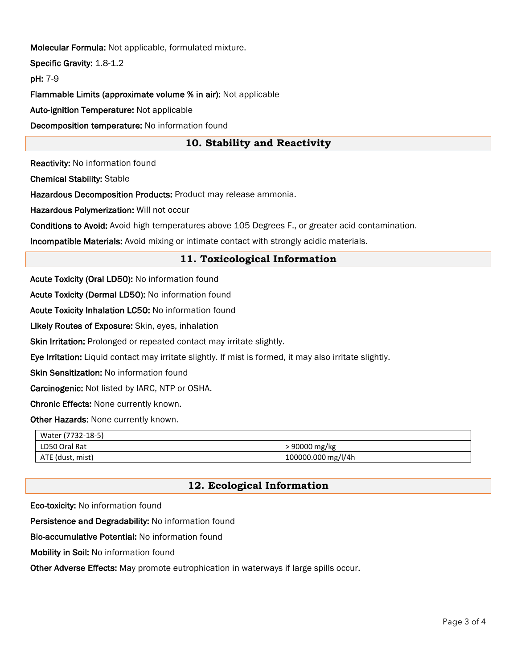Molecular Formula: Not applicable, formulated mixture.

Specific Gravity: 1.8-1.2

pH: 7-9

Flammable Limits (approximate volume % in air): Not applicable

Auto-ignition Temperature: Not applicable

Decomposition temperature: No information found

# **10. Stability and Reactivity**

Reactivity: No information found

Chemical Stability: Stable

Hazardous Decomposition Products: Product may release ammonia.

Hazardous Polymerization: Will not occur

Conditions to Avoid: Avoid high temperatures above 105 Degrees F., or greater acid contamination.

Incompatible Materials: Avoid mixing or intimate contact with strongly acidic materials.

## **11. Toxicological Information**

Acute Toxicity (Oral LD50): No information found

Acute Toxicity (Dermal LD50): No information found

Acute Toxicity Inhalation LC50: No information found

Likely Routes of Exposure: Skin, eyes, inhalation

Skin Irritation: Prolonged or repeated contact may irritate slightly.

Eye Irritation: Liquid contact may irritate slightly. If mist is formed, it may also irritate slightly.

Skin Sensitization: No information found

Carcinogenic: Not listed by IARC, NTP or OSHA.

Chronic Effects: None currently known.

Other Hazards: None currently known.

| Water (7732-18-5) |                     |  |  |
|-------------------|---------------------|--|--|
| LD50 Oral Rat     | $\cdot$ 90000 mg/kg |  |  |
| ATE (dust, mist)  | 100000.000 mg/l/4h  |  |  |

## **12. Ecological Information**

Eco-toxicity: No information found

Persistence and Degradability: No information found

Bio-accumulative Potential: No information found

Mobility in Soil: No information found

Other Adverse Effects: May promote eutrophication in waterways if large spills occur.